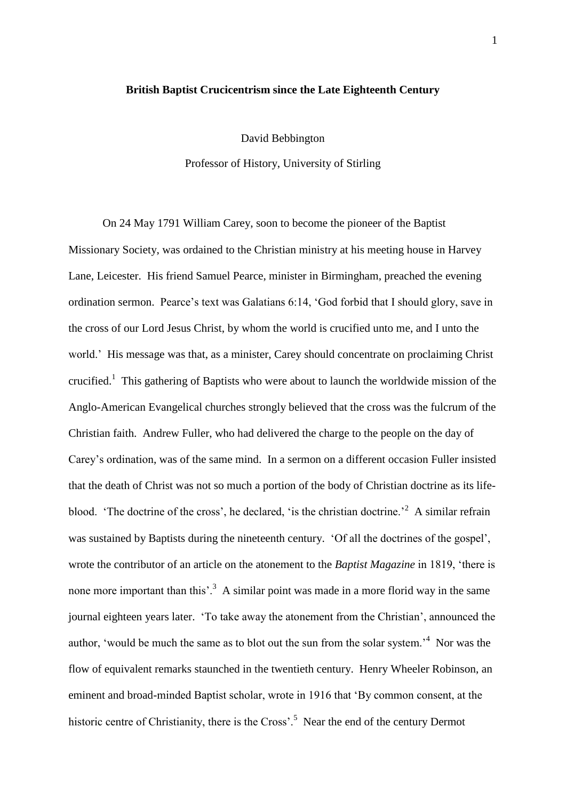## **British Baptist Crucicentrism since the Late Eighteenth Century**

David Bebbington

Professor of History, University of Stirling

On 24 May 1791 William Carey, soon to become the pioneer of the Baptist Missionary Society, was ordained to the Christian ministry at his meeting house in Harvey Lane, Leicester. His friend Samuel Pearce, minister in Birmingham, preached the evening ordination sermon. Pearce's text was Galatians 6:14, 'God forbid that I should glory, save in the cross of our Lord Jesus Christ, by whom the world is crucified unto me, and I unto the world.' His message was that, as a minister, Carey should concentrate on proclaiming Christ crucified.<sup>1</sup> This gathering of Baptists who were about to launch the worldwide mission of the Anglo-American Evangelical churches strongly believed that the cross was the fulcrum of the Christian faith. Andrew Fuller, who had delivered the charge to the people on the day of Carey's ordination, was of the same mind. In a sermon on a different occasion Fuller insisted that the death of Christ was not so much a portion of the body of Christian doctrine as its lifeblood. 'The doctrine of the cross', he declared, 'is the christian doctrine.'<sup>2</sup> A similar refrain was sustained by Baptists during the nineteenth century. 'Of all the doctrines of the gospel', wrote the contributor of an article on the atonement to the *Baptist Magazine* in 1819, 'there is none more important than this'.<sup>3</sup> A similar point was made in a more florid way in the same journal eighteen years later. 'To take away the atonement from the Christian', announced the author, 'would be much the same as to blot out the sun from the solar system.'<sup>4</sup> Nor was the flow of equivalent remarks staunched in the twentieth century. Henry Wheeler Robinson, an eminent and broad-minded Baptist scholar, wrote in 1916 that 'By common consent, at the historic centre of Christianity, there is the Cross'.<sup>5</sup> Near the end of the century Dermot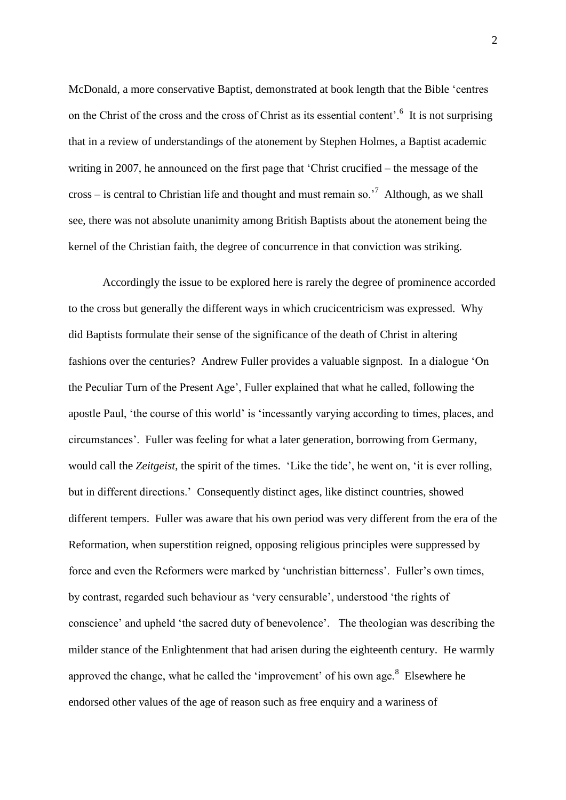McDonald, a more conservative Baptist, demonstrated at book length that the Bible 'centres on the Christ of the cross and the cross of Christ as its essential content'.<sup>6</sup> It is not surprising that in a review of understandings of the atonement by Stephen Holmes, a Baptist academic writing in 2007, he announced on the first page that 'Christ crucified – the message of the cross – is central to Christian life and thought and must remain so.<sup>7</sup> Although, as we shall see, there was not absolute unanimity among British Baptists about the atonement being the kernel of the Christian faith, the degree of concurrence in that conviction was striking.

Accordingly the issue to be explored here is rarely the degree of prominence accorded to the cross but generally the different ways in which crucicentricism was expressed. Why did Baptists formulate their sense of the significance of the death of Christ in altering fashions over the centuries? Andrew Fuller provides a valuable signpost. In a dialogue 'On the Peculiar Turn of the Present Age', Fuller explained that what he called, following the apostle Paul, 'the course of this world' is 'incessantly varying according to times, places, and circumstances'. Fuller was feeling for what a later generation, borrowing from Germany, would call the *Zeitgeist*, the spirit of the times.'Like the tide', he went on, 'it is ever rolling, but in different directions.' Consequently distinct ages, like distinct countries, showed different tempers. Fuller was aware that his own period was very different from the era of the Reformation, when superstition reigned, opposing religious principles were suppressed by force and even the Reformers were marked by 'unchristian bitterness'. Fuller's own times, by contrast, regarded such behaviour as 'very censurable', understood 'the rights of conscience' and upheld 'the sacred duty of benevolence'. The theologian was describing the milder stance of the Enlightenment that had arisen during the eighteenth century. He warmly approved the change, what he called the 'improvement' of his own age. $8$  Elsewhere he endorsed other values of the age of reason such as free enquiry and a wariness of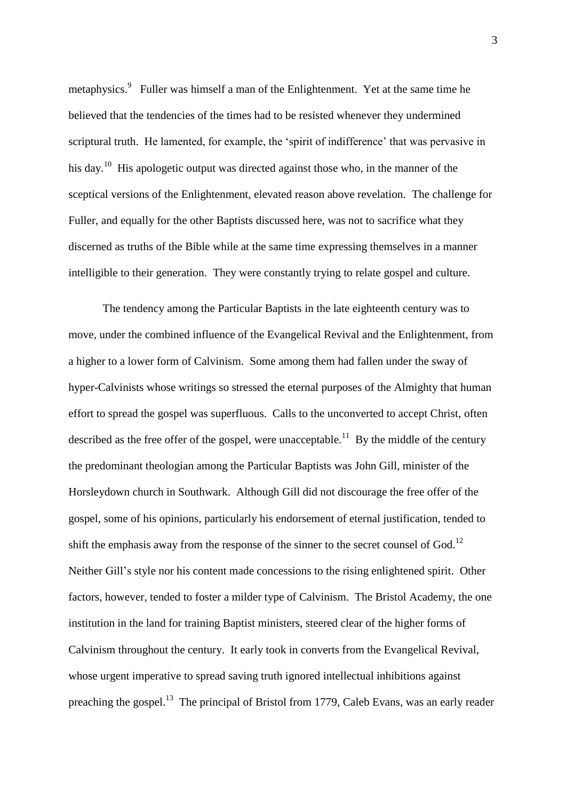metaphysics.<sup>9</sup> Fuller was himself a man of the Enlightenment. Yet at the same time he believed that the tendencies of the times had to be resisted whenever they undermined scriptural truth. He lamented, for example, the 'spirit of indifference' that was pervasive in his day.<sup>10</sup> His apologetic output was directed against those who, in the manner of the sceptical versions of the Enlightenment, elevated reason above revelation. The challenge for Fuller, and equally for the other Baptists discussed here, was not to sacrifice what they discerned as truths of the Bible while at the same time expressing themselves in a manner intelligible to their generation. They were constantly trying to relate gospel and culture.

The tendency among the Particular Baptists in the late eighteenth century was to move, under the combined influence of the Evangelical Revival and the Enlightenment, from a higher to a lower form of Calvinism. Some among them had fallen under the sway of hyper-Calvinists whose writings so stressed the eternal purposes of the Almighty that human effort to spread the gospel was superfluous. Calls to the unconverted to accept Christ, often described as the free offer of the gospel, were unacceptable.<sup>11</sup> By the middle of the century the predominant theologian among the Particular Baptists was John Gill, minister of the Horsleydown church in Southwark. Although Gill did not discourage the free offer of the gospel, some of his opinions, particularly his endorsement of eternal justification, tended to shift the emphasis away from the response of the sinner to the secret counsel of God.<sup>12</sup> Neither Gill's style nor his content made concessions to the rising enlightened spirit. Other factors, however, tended to foster a milder type of Calvinism. The Bristol Academy, the one institution in the land for training Baptist ministers, steered clear of the higher forms of Calvinism throughout the century. It early took in converts from the Evangelical Revival, whose urgent imperative to spread saving truth ignored intellectual inhibitions against preaching the gospel.<sup>13</sup> The principal of Bristol from 1779, Caleb Evans, was an early reader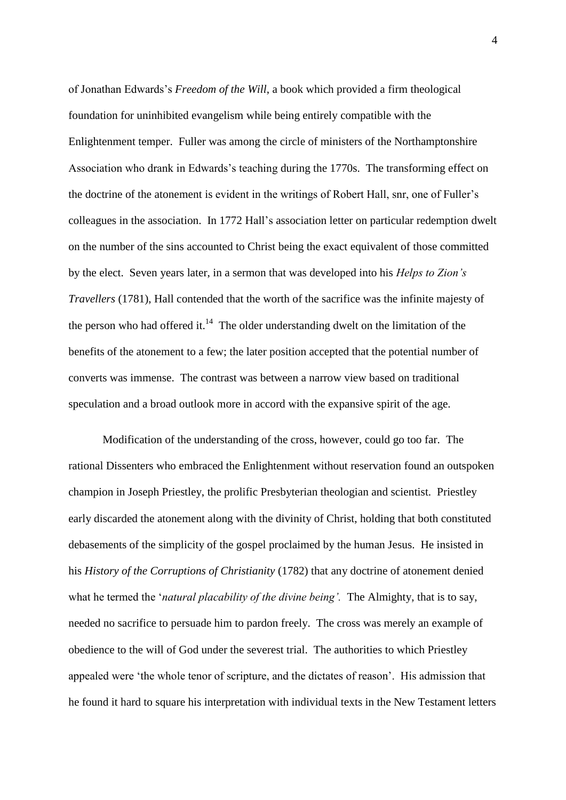of Jonathan Edwards's *Freedom of the Will*, a book which provided a firm theological foundation for uninhibited evangelism while being entirely compatible with the Enlightenment temper. Fuller was among the circle of ministers of the Northamptonshire Association who drank in Edwards's teaching during the 1770s. The transforming effect on the doctrine of the atonement is evident in the writings of Robert Hall, snr, one of Fuller's colleagues in the association. In 1772 Hall's association letter on particular redemption dwelt on the number of the sins accounted to Christ being the exact equivalent of those committed by the elect. Seven years later, in a sermon that was developed into his *Helps to Zion's Travellers* (1781), Hall contended that the worth of the sacrifice was the infinite majesty of the person who had offered it.<sup>14</sup> The older understanding dwelt on the limitation of the benefits of the atonement to a few; the later position accepted that the potential number of converts was immense. The contrast was between a narrow view based on traditional speculation and a broad outlook more in accord with the expansive spirit of the age.

Modification of the understanding of the cross, however, could go too far. The rational Dissenters who embraced the Enlightenment without reservation found an outspoken champion in Joseph Priestley, the prolific Presbyterian theologian and scientist. Priestley early discarded the atonement along with the divinity of Christ, holding that both constituted debasements of the simplicity of the gospel proclaimed by the human Jesus. He insisted in his *History of the Corruptions of Christianity* (1782) that any doctrine of atonement denied what he termed the *'natural placability of the divine being'*. The Almighty, that is to say, needed no sacrifice to persuade him to pardon freely. The cross was merely an example of obedience to the will of God under the severest trial. The authorities to which Priestley appealed were 'the whole tenor of scripture, and the dictates of reason'. His admission that he found it hard to square his interpretation with individual texts in the New Testament letters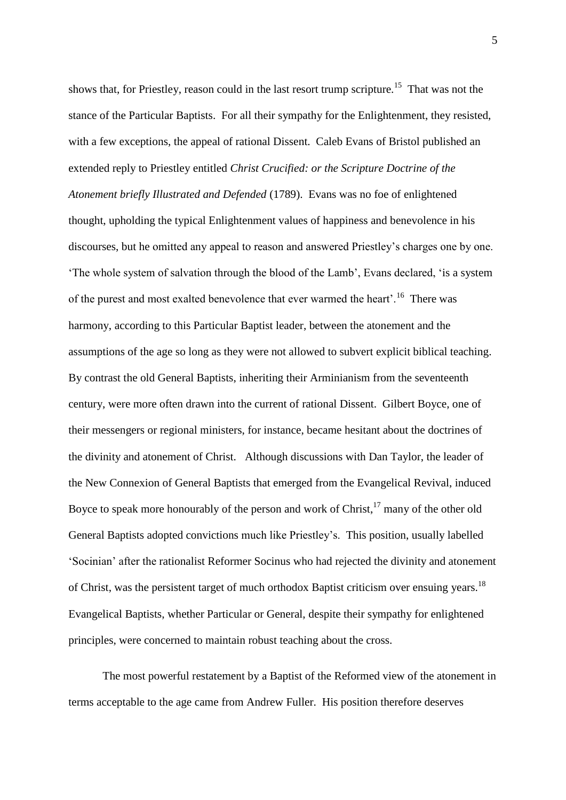shows that, for Priestley, reason could in the last resort trump scripture.<sup>15</sup> That was not the stance of the Particular Baptists. For all their sympathy for the Enlightenment, they resisted, with a few exceptions, the appeal of rational Dissent. Caleb Evans of Bristol published an extended reply to Priestley entitled *Christ Crucified: or the Scripture Doctrine of the Atonement briefly Illustrated and Defended* (1789). Evans was no foe of enlightened thought, upholding the typical Enlightenment values of happiness and benevolence in his discourses, but he omitted any appeal to reason and answered Priestley's charges one by one. 'The whole system of salvation through the blood of the Lamb', Evans declared, 'is a system of the purest and most exalted benevolence that ever warmed the heart'.<sup>16</sup> There was harmony, according to this Particular Baptist leader, between the atonement and the assumptions of the age so long as they were not allowed to subvert explicit biblical teaching. By contrast the old General Baptists, inheriting their Arminianism from the seventeenth century, were more often drawn into the current of rational Dissent. Gilbert Boyce, one of their messengers or regional ministers, for instance, became hesitant about the doctrines of the divinity and atonement of Christ. Although discussions with Dan Taylor, the leader of the New Connexion of General Baptists that emerged from the Evangelical Revival, induced Boyce to speak more honourably of the person and work of Christ, $17$  many of the other old General Baptists adopted convictions much like Priestley's. This position, usually labelled 'Socinian' after the rationalist Reformer Socinus who had rejected the divinity and atonement of Christ, was the persistent target of much orthodox Baptist criticism over ensuing years.<sup>18</sup> Evangelical Baptists, whether Particular or General, despite their sympathy for enlightened principles, were concerned to maintain robust teaching about the cross.

The most powerful restatement by a Baptist of the Reformed view of the atonement in terms acceptable to the age came from Andrew Fuller. His position therefore deserves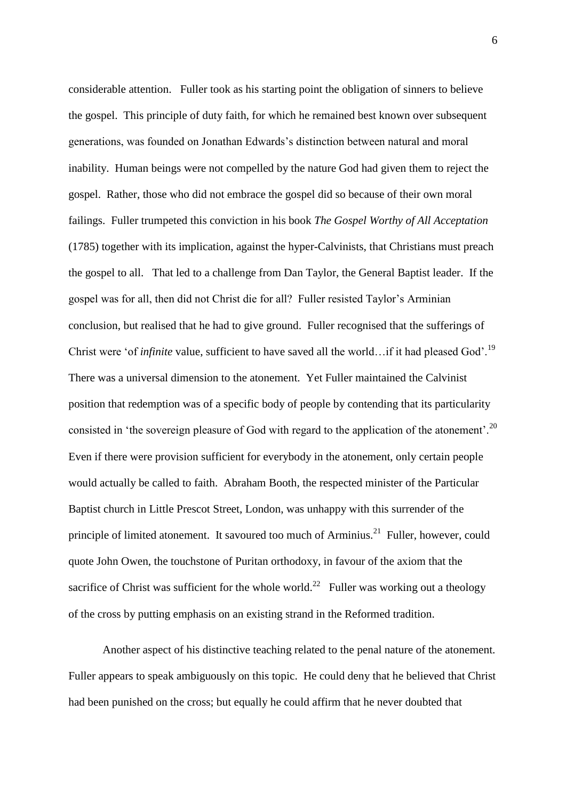considerable attention. Fuller took as his starting point the obligation of sinners to believe the gospel. This principle of duty faith, for which he remained best known over subsequent generations, was founded on Jonathan Edwards's distinction between natural and moral inability. Human beings were not compelled by the nature God had given them to reject the gospel. Rather, those who did not embrace the gospel did so because of their own moral failings. Fuller trumpeted this conviction in his book *The Gospel Worthy of All Acceptation*  (1785) together with its implication, against the hyper-Calvinists, that Christians must preach the gospel to all. That led to a challenge from Dan Taylor, the General Baptist leader. If the gospel was for all, then did not Christ die for all? Fuller resisted Taylor's Arminian conclusion, but realised that he had to give ground. Fuller recognised that the sufferings of Christ were 'of *infinite* value, sufficient to have saved all the world…if it had pleased God'.<sup>19</sup> There was a universal dimension to the atonement. Yet Fuller maintained the Calvinist position that redemption was of a specific body of people by contending that its particularity consisted in 'the sovereign pleasure of God with regard to the application of the atonement'.<sup>20</sup> Even if there were provision sufficient for everybody in the atonement, only certain people would actually be called to faith. Abraham Booth, the respected minister of the Particular Baptist church in Little Prescot Street, London, was unhappy with this surrender of the principle of limited atonement. It savoured too much of Arminius.<sup>21</sup> Fuller, however, could quote John Owen, the touchstone of Puritan orthodoxy, in favour of the axiom that the sacrifice of Christ was sufficient for the whole world.<sup>22</sup> Fuller was working out a theology of the cross by putting emphasis on an existing strand in the Reformed tradition.

Another aspect of his distinctive teaching related to the penal nature of the atonement. Fuller appears to speak ambiguously on this topic. He could deny that he believed that Christ had been punished on the cross; but equally he could affirm that he never doubted that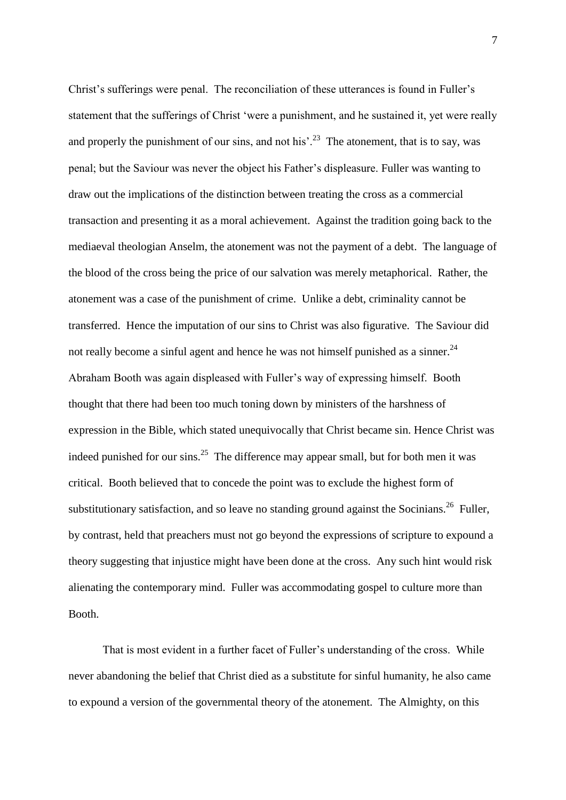Christ's sufferings were penal. The reconciliation of these utterances is found in Fuller's statement that the sufferings of Christ 'were a punishment, and he sustained it, yet were really and properly the punishment of our sins, and not his'.<sup>23</sup> The atonement, that is to say, was penal; but the Saviour was never the object his Father's displeasure. Fuller was wanting to draw out the implications of the distinction between treating the cross as a commercial transaction and presenting it as a moral achievement. Against the tradition going back to the mediaeval theologian Anselm, the atonement was not the payment of a debt. The language of the blood of the cross being the price of our salvation was merely metaphorical. Rather, the atonement was a case of the punishment of crime. Unlike a debt, criminality cannot be transferred. Hence the imputation of our sins to Christ was also figurative. The Saviour did not really become a sinful agent and hence he was not himself punished as a sinner. $^{24}$ Abraham Booth was again displeased with Fuller's way of expressing himself. Booth thought that there had been too much toning down by ministers of the harshness of expression in the Bible, which stated unequivocally that Christ became sin. Hence Christ was indeed punished for our sins.<sup>25</sup> The difference may appear small, but for both men it was critical. Booth believed that to concede the point was to exclude the highest form of substitutionary satisfaction, and so leave no standing ground against the Socinians.<sup>26</sup> Fuller, by contrast, held that preachers must not go beyond the expressions of scripture to expound a theory suggesting that injustice might have been done at the cross. Any such hint would risk alienating the contemporary mind. Fuller was accommodating gospel to culture more than Booth.

That is most evident in a further facet of Fuller's understanding of the cross. While never abandoning the belief that Christ died as a substitute for sinful humanity, he also came to expound a version of the governmental theory of the atonement. The Almighty, on this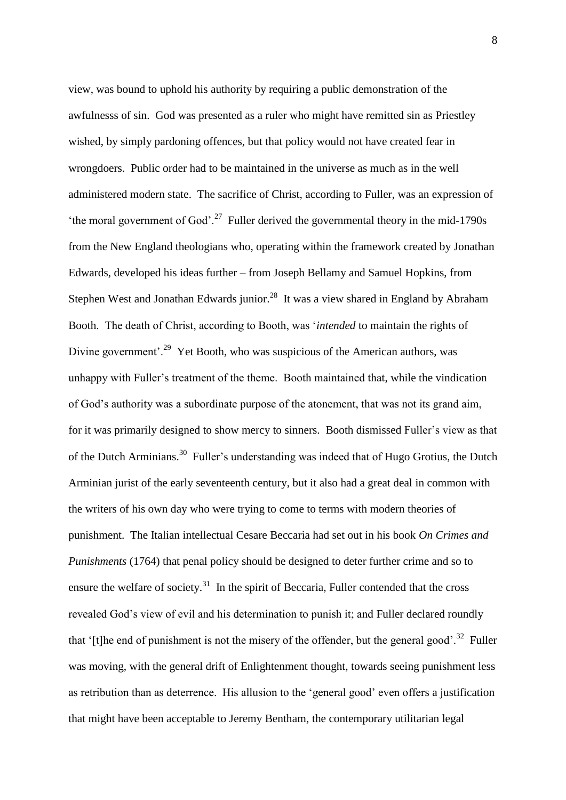view, was bound to uphold his authority by requiring a public demonstration of the awfulnesss of sin. God was presented as a ruler who might have remitted sin as Priestley wished, by simply pardoning offences, but that policy would not have created fear in wrongdoers. Public order had to be maintained in the universe as much as in the well administered modern state. The sacrifice of Christ, according to Fuller, was an expression of 'the moral government of God'. $^{27}$  Fuller derived the governmental theory in the mid-1790s from the New England theologians who, operating within the framework created by Jonathan Edwards, developed his ideas further – from Joseph Bellamy and Samuel Hopkins, from Stephen West and Jonathan Edwards junior.<sup>28</sup> It was a view shared in England by Abraham Booth. The death of Christ, according to Booth, was '*intended* to maintain the rights of Divine government'.<sup>29</sup> Yet Booth, who was suspicious of the American authors, was unhappy with Fuller's treatment of the theme. Booth maintained that, while the vindication of God's authority was a subordinate purpose of the atonement, that was not its grand aim, for it was primarily designed to show mercy to sinners. Booth dismissed Fuller's view as that of the Dutch Arminians.<sup>30</sup> Fuller's understanding was indeed that of Hugo Grotius, the Dutch Arminian jurist of the early seventeenth century, but it also had a great deal in common with the writers of his own day who were trying to come to terms with modern theories of punishment. The Italian intellectual Cesare Beccaria had set out in his book *On Crimes and Punishments* (1764) that penal policy should be designed to deter further crime and so to ensure the welfare of society. $31$  In the spirit of Beccaria, Fuller contended that the cross revealed God's view of evil and his determination to punish it; and Fuller declared roundly that '[t]he end of punishment is not the misery of the offender, but the general good'.<sup>32</sup> Fuller was moving, with the general drift of Enlightenment thought, towards seeing punishment less as retribution than as deterrence. His allusion to the 'general good' even offers a justification that might have been acceptable to Jeremy Bentham, the contemporary utilitarian legal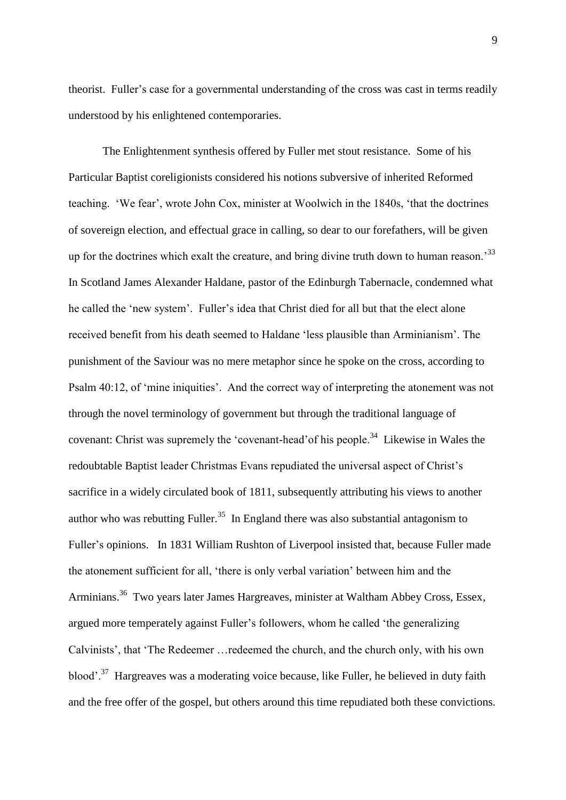theorist. Fuller's case for a governmental understanding of the cross was cast in terms readily understood by his enlightened contemporaries.

The Enlightenment synthesis offered by Fuller met stout resistance. Some of his Particular Baptist coreligionists considered his notions subversive of inherited Reformed teaching. 'We fear', wrote John Cox, minister at Woolwich in the 1840s, 'that the doctrines of sovereign election, and effectual grace in calling, so dear to our forefathers, will be given up for the doctrines which exalt the creature, and bring divine truth down to human reason.<sup>33</sup> In Scotland James Alexander Haldane, pastor of the Edinburgh Tabernacle, condemned what he called the 'new system'. Fuller's idea that Christ died for all but that the elect alone received benefit from his death seemed to Haldane 'less plausible than Arminianism'. The punishment of the Saviour was no mere metaphor since he spoke on the cross, according to Psalm 40:12, of 'mine iniquities'. And the correct way of interpreting the atonement was not through the novel terminology of government but through the traditional language of covenant: Christ was supremely the 'covenant-head' of his people.<sup>34</sup> Likewise in Wales the redoubtable Baptist leader Christmas Evans repudiated the universal aspect of Christ's sacrifice in a widely circulated book of 1811, subsequently attributing his views to another author who was rebutting Fuller.<sup>35</sup> In England there was also substantial antagonism to Fuller's opinions. In 1831 William Rushton of Liverpool insisted that, because Fuller made the atonement sufficient for all, 'there is only verbal variation' between him and the Arminians.<sup>36</sup> Two years later James Hargreaves, minister at Waltham Abbey Cross, Essex, argued more temperately against Fuller's followers, whom he called 'the generalizing Calvinists', that 'The Redeemer …redeemed the church, and the church only, with his own blood'.<sup>37</sup> Hargreaves was a moderating voice because, like Fuller, he believed in duty faith and the free offer of the gospel, but others around this time repudiated both these convictions.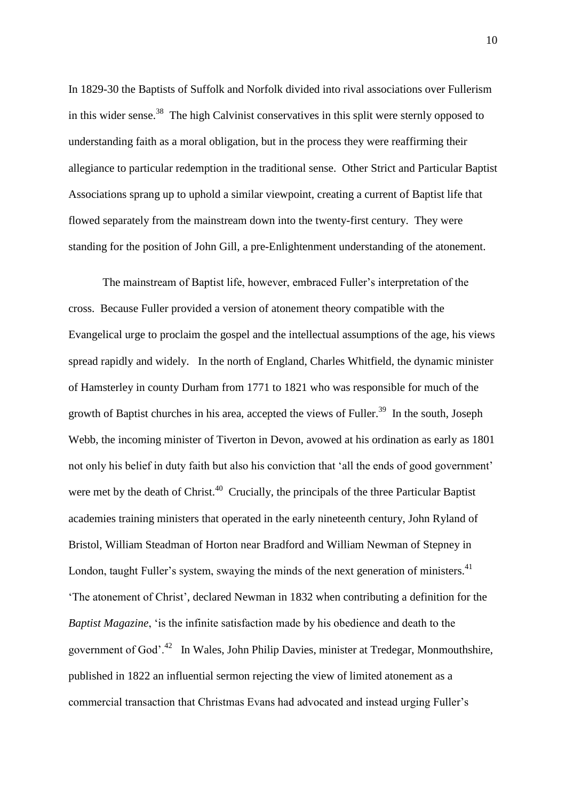In 1829-30 the Baptists of Suffolk and Norfolk divided into rival associations over Fullerism in this wider sense.<sup>38</sup> The high Calvinist conservatives in this split were sternly opposed to understanding faith as a moral obligation, but in the process they were reaffirming their allegiance to particular redemption in the traditional sense. Other Strict and Particular Baptist Associations sprang up to uphold a similar viewpoint, creating a current of Baptist life that flowed separately from the mainstream down into the twenty-first century. They were standing for the position of John Gill, a pre-Enlightenment understanding of the atonement.

The mainstream of Baptist life, however, embraced Fuller's interpretation of the cross. Because Fuller provided a version of atonement theory compatible with the Evangelical urge to proclaim the gospel and the intellectual assumptions of the age, his views spread rapidly and widely. In the north of England, Charles Whitfield, the dynamic minister of Hamsterley in county Durham from 1771 to 1821 who was responsible for much of the growth of Baptist churches in his area, accepted the views of Fuller.<sup>39</sup> In the south, Joseph Webb, the incoming minister of Tiverton in Devon, avowed at his ordination as early as 1801 not only his belief in duty faith but also his conviction that 'all the ends of good government' were met by the death of Christ.<sup>40</sup> Crucially, the principals of the three Particular Baptist academies training ministers that operated in the early nineteenth century, John Ryland of Bristol, William Steadman of Horton near Bradford and William Newman of Stepney in London, taught Fuller's system, swaying the minds of the next generation of ministers. $41$ 'The atonement of Christ', declared Newman in 1832 when contributing a definition for the *Baptist Magazine*, 'is the infinite satisfaction made by his obedience and death to the government of God'.<sup>42</sup> In Wales, John Philip Davies, minister at Tredegar, Monmouthshire, published in 1822 an influential sermon rejecting the view of limited atonement as a commercial transaction that Christmas Evans had advocated and instead urging Fuller's

10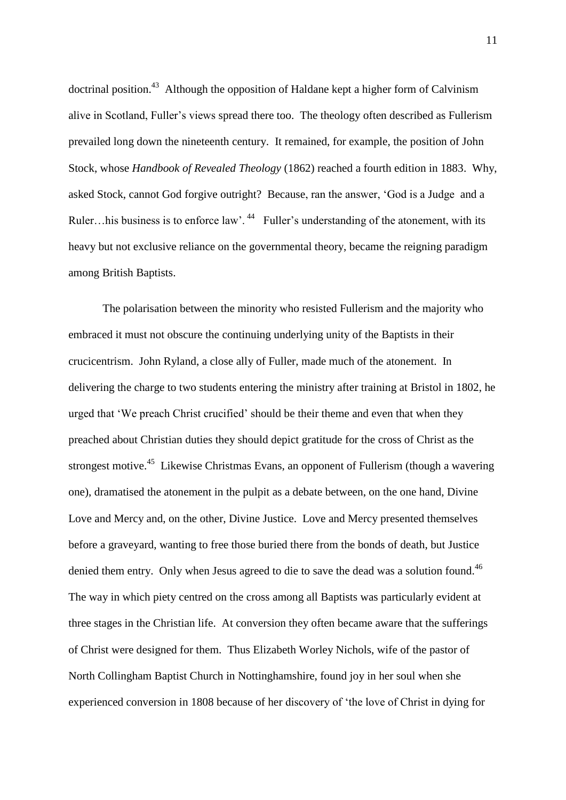doctrinal position.<sup>43</sup> Although the opposition of Haldane kept a higher form of Calvinism alive in Scotland, Fuller's views spread there too. The theology often described as Fullerism prevailed long down the nineteenth century. It remained, for example, the position of John Stock, whose *Handbook of Revealed Theology* (1862) reached a fourth edition in 1883. Why, asked Stock, cannot God forgive outright? Because, ran the answer, 'God is a Judge and a Ruler...his business is to enforce law'.<sup>44</sup> Fuller's understanding of the atonement, with its heavy but not exclusive reliance on the governmental theory, became the reigning paradigm among British Baptists.

The polarisation between the minority who resisted Fullerism and the majority who embraced it must not obscure the continuing underlying unity of the Baptists in their crucicentrism. John Ryland, a close ally of Fuller, made much of the atonement. In delivering the charge to two students entering the ministry after training at Bristol in 1802, he urged that 'We preach Christ crucified' should be their theme and even that when they preached about Christian duties they should depict gratitude for the cross of Christ as the strongest motive.<sup>45</sup> Likewise Christmas Evans, an opponent of Fullerism (though a wavering one), dramatised the atonement in the pulpit as a debate between, on the one hand, Divine Love and Mercy and, on the other, Divine Justice. Love and Mercy presented themselves before a graveyard, wanting to free those buried there from the bonds of death, but Justice denied them entry. Only when Jesus agreed to die to save the dead was a solution found.<sup>46</sup> The way in which piety centred on the cross among all Baptists was particularly evident at three stages in the Christian life. At conversion they often became aware that the sufferings of Christ were designed for them. Thus Elizabeth Worley Nichols, wife of the pastor of North Collingham Baptist Church in Nottinghamshire, found joy in her soul when she experienced conversion in 1808 because of her discovery of 'the love of Christ in dying for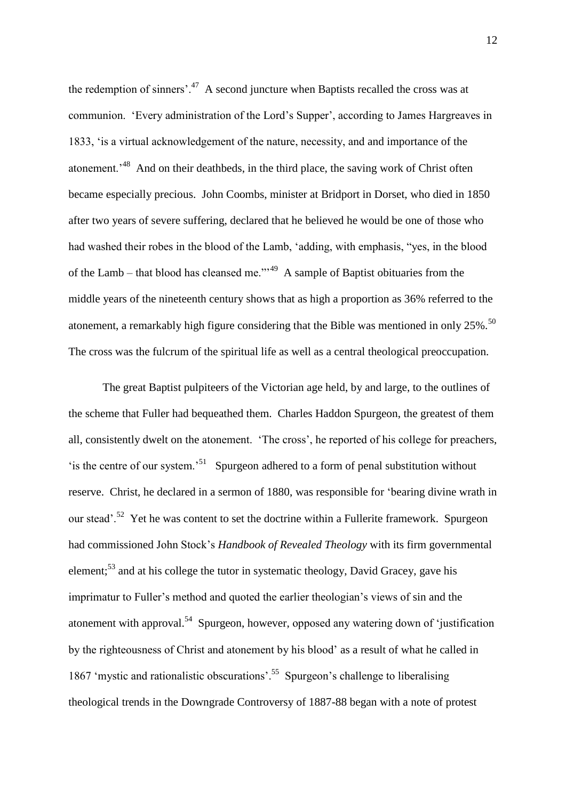the redemption of sinners'.<sup>47</sup> A second juncture when Baptists recalled the cross was at communion. 'Every administration of the Lord's Supper', according to James Hargreaves in 1833, 'is a virtual acknowledgement of the nature, necessity, and and importance of the atonement.<sup>48</sup> And on their deathbeds, in the third place, the saving work of Christ often became especially precious. John Coombs, minister at Bridport in Dorset, who died in 1850 after two years of severe suffering, declared that he believed he would be one of those who had washed their robes in the blood of the Lamb, 'adding, with emphasis, "yes, in the blood of the Lamb – that blood has cleansed me."<sup>49</sup> A sample of Baptist obituaries from the middle years of the nineteenth century shows that as high a proportion as 36% referred to the atonement, a remarkably high figure considering that the Bible was mentioned in only  $25\%$ .<sup>50</sup> The cross was the fulcrum of the spiritual life as well as a central theological preoccupation.

The great Baptist pulpiteers of the Victorian age held, by and large, to the outlines of the scheme that Fuller had bequeathed them. Charles Haddon Spurgeon, the greatest of them all, consistently dwelt on the atonement. 'The cross', he reported of his college for preachers, 'is the centre of our system.<sup>51</sup> Spurgeon adhered to a form of penal substitution without reserve. Christ, he declared in a sermon of 1880, was responsible for 'bearing divine wrath in our stead'.<sup>52</sup> Yet he was content to set the doctrine within a Fullerite framework. Spurgeon had commissioned John Stock's *Handbook of Revealed Theology* with its firm governmental element;<sup>53</sup> and at his college the tutor in systematic theology, David Gracey, gave his imprimatur to Fuller's method and quoted the earlier theologian's views of sin and the atonement with approval.<sup>54</sup> Spurgeon, however, opposed any watering down of 'justification by the righteousness of Christ and atonement by his blood' as a result of what he called in 1867 'mystic and rationalistic obscurations'.<sup>55</sup> Spurgeon's challenge to liberalising theological trends in the Downgrade Controversy of 1887-88 began with a note of protest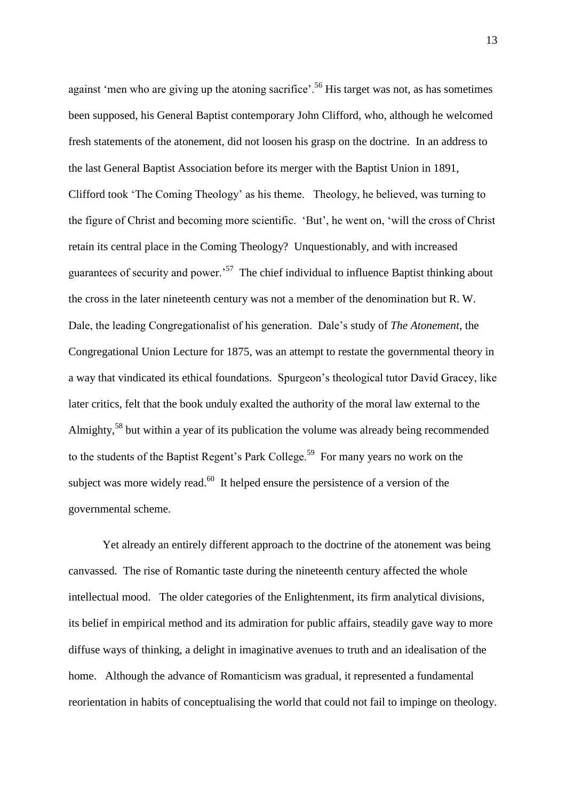against 'men who are giving up the atoning sacrifice'.<sup>56</sup> His target was not, as has sometimes been supposed, his General Baptist contemporary John Clifford, who, although he welcomed fresh statements of the atonement, did not loosen his grasp on the doctrine. In an address to the last General Baptist Association before its merger with the Baptist Union in 1891, Clifford took 'The Coming Theology' as his theme. Theology, he believed, was turning to the figure of Christ and becoming more scientific. 'But', he went on, 'will the cross of Christ retain its central place in the Coming Theology? Unquestionably, and with increased guarantees of security and power.<sup>57</sup> The chief individual to influence Baptist thinking about the cross in the later nineteenth century was not a member of the denomination but R. W. Dale, the leading Congregationalist of his generation. Dale's study of *The Atonement*, the Congregational Union Lecture for 1875, was an attempt to restate the governmental theory in a way that vindicated its ethical foundations. Spurgeon's theological tutor David Gracey, like later critics, felt that the book unduly exalted the authority of the moral law external to the Almighty,<sup>58</sup> but within a year of its publication the volume was already being recommended to the students of the Baptist Regent's Park College.<sup>59</sup> For many years no work on the subject was more widely read. $60$  It helped ensure the persistence of a version of the governmental scheme.

Yet already an entirely different approach to the doctrine of the atonement was being canvassed. The rise of Romantic taste during the nineteenth century affected the whole intellectual mood. The older categories of the Enlightenment, its firm analytical divisions, its belief in empirical method and its admiration for public affairs, steadily gave way to more diffuse ways of thinking, a delight in imaginative avenues to truth and an idealisation of the home. Although the advance of Romanticism was gradual, it represented a fundamental reorientation in habits of conceptualising the world that could not fail to impinge on theology.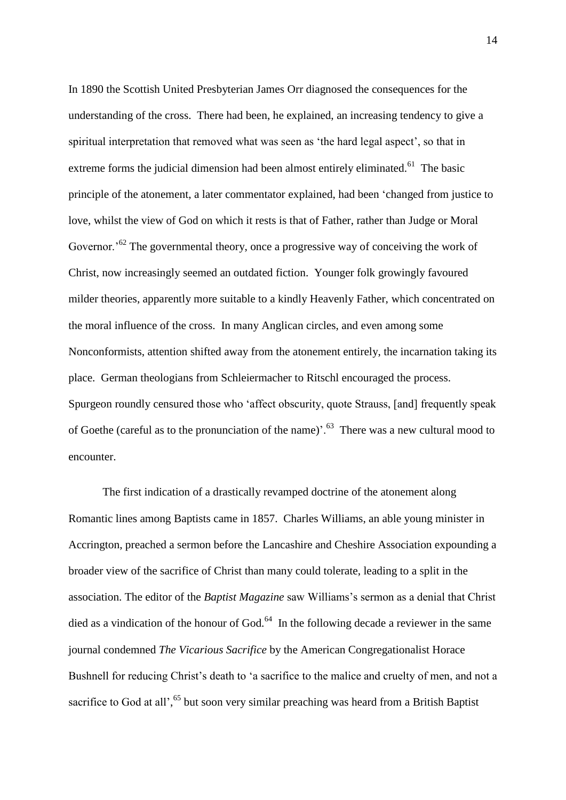In 1890 the Scottish United Presbyterian James Orr diagnosed the consequences for the understanding of the cross. There had been, he explained, an increasing tendency to give a spiritual interpretation that removed what was seen as 'the hard legal aspect', so that in extreme forms the judicial dimension had been almost entirely eliminated.<sup>61</sup> The basic principle of the atonement, a later commentator explained, had been 'changed from justice to love, whilst the view of God on which it rests is that of Father, rather than Judge or Moral Governor.<sup>562</sup> The governmental theory, once a progressive way of conceiving the work of Christ, now increasingly seemed an outdated fiction. Younger folk growingly favoured milder theories, apparently more suitable to a kindly Heavenly Father, which concentrated on the moral influence of the cross. In many Anglican circles, and even among some Nonconformists, attention shifted away from the atonement entirely, the incarnation taking its place. German theologians from Schleiermacher to Ritschl encouraged the process. Spurgeon roundly censured those who 'affect obscurity, quote Strauss, [and] frequently speak of Goethe (careful as to the pronunciation of the name)'.<sup>63</sup> There was a new cultural mood to encounter.

The first indication of a drastically revamped doctrine of the atonement along Romantic lines among Baptists came in 1857. Charles Williams, an able young minister in Accrington, preached a sermon before the Lancashire and Cheshire Association expounding a broader view of the sacrifice of Christ than many could tolerate, leading to a split in the association. The editor of the *Baptist Magazine* saw Williams's sermon as a denial that Christ died as a vindication of the honour of God. $<sup>64</sup>$  In the following decade a reviewer in the same</sup> journal condemned *The Vicarious Sacrifice* by the American Congregationalist Horace Bushnell for reducing Christ's death to 'a sacrifice to the malice and cruelty of men, and not a sacrifice to God at all',<sup>65</sup> but soon very similar preaching was heard from a British Baptist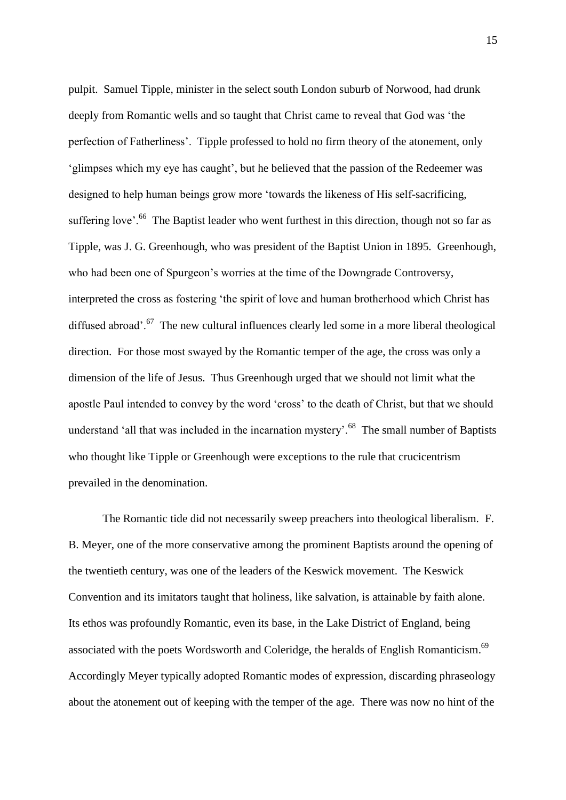pulpit. Samuel Tipple, minister in the select south London suburb of Norwood, had drunk deeply from Romantic wells and so taught that Christ came to reveal that God was 'the perfection of Fatherliness'. Tipple professed to hold no firm theory of the atonement, only 'glimpses which my eye has caught', but he believed that the passion of the Redeemer was designed to help human beings grow more 'towards the likeness of His self-sacrificing, suffering love'.<sup>66</sup> The Baptist leader who went furthest in this direction, though not so far as Tipple, was J. G. Greenhough, who was president of the Baptist Union in 1895. Greenhough, who had been one of Spurgeon's worries at the time of the Downgrade Controversy, interpreted the cross as fostering 'the spirit of love and human brotherhood which Christ has diffused abroad'.<sup>67</sup> The new cultural influences clearly led some in a more liberal theological direction. For those most swayed by the Romantic temper of the age, the cross was only a dimension of the life of Jesus. Thus Greenhough urged that we should not limit what the apostle Paul intended to convey by the word 'cross' to the death of Christ, but that we should understand 'all that was included in the incarnation mystery'. $^{68}$  The small number of Baptists who thought like Tipple or Greenhough were exceptions to the rule that crucicentrism prevailed in the denomination.

The Romantic tide did not necessarily sweep preachers into theological liberalism. F. B. Meyer, one of the more conservative among the prominent Baptists around the opening of the twentieth century, was one of the leaders of the Keswick movement. The Keswick Convention and its imitators taught that holiness, like salvation, is attainable by faith alone. Its ethos was profoundly Romantic, even its base, in the Lake District of England, being associated with the poets Wordsworth and Coleridge, the heralds of English Romanticism.<sup>69</sup> Accordingly Meyer typically adopted Romantic modes of expression, discarding phraseology about the atonement out of keeping with the temper of the age. There was now no hint of the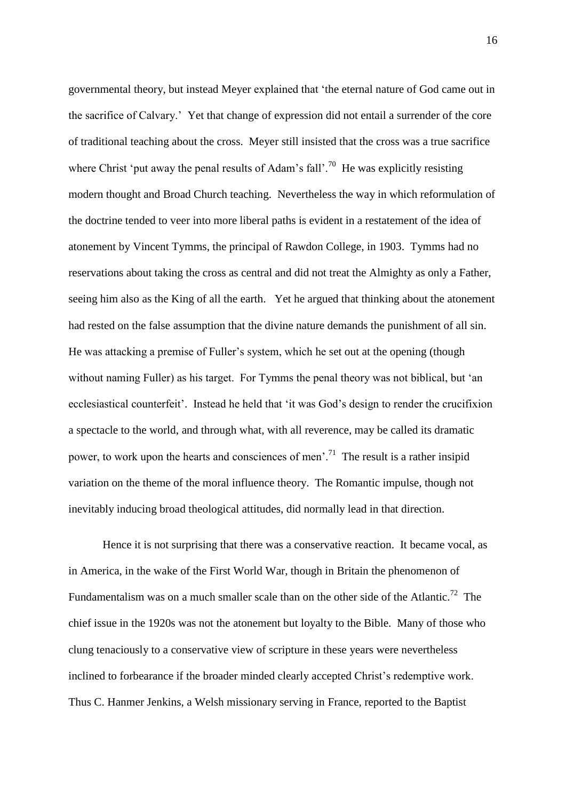governmental theory, but instead Meyer explained that 'the eternal nature of God came out in the sacrifice of Calvary.' Yet that change of expression did not entail a surrender of the core of traditional teaching about the cross. Meyer still insisted that the cross was a true sacrifice where Christ 'put away the penal results of Adam's fall'.<sup>70</sup> He was explicitly resisting modern thought and Broad Church teaching. Nevertheless the way in which reformulation of the doctrine tended to veer into more liberal paths is evident in a restatement of the idea of atonement by Vincent Tymms, the principal of Rawdon College, in 1903. Tymms had no reservations about taking the cross as central and did not treat the Almighty as only a Father, seeing him also as the King of all the earth. Yet he argued that thinking about the atonement had rested on the false assumption that the divine nature demands the punishment of all sin. He was attacking a premise of Fuller's system, which he set out at the opening (though without naming Fuller) as his target. For Tymms the penal theory was not biblical, but 'an ecclesiastical counterfeit'. Instead he held that 'it was God's design to render the crucifixion a spectacle to the world, and through what, with all reverence, may be called its dramatic power, to work upon the hearts and consciences of men'.<sup>71</sup> The result is a rather insipid variation on the theme of the moral influence theory. The Romantic impulse, though not inevitably inducing broad theological attitudes, did normally lead in that direction.

Hence it is not surprising that there was a conservative reaction. It became vocal, as in America, in the wake of the First World War, though in Britain the phenomenon of Fundamentalism was on a much smaller scale than on the other side of the Atlantic.<sup>72</sup> The chief issue in the 1920s was not the atonement but loyalty to the Bible. Many of those who clung tenaciously to a conservative view of scripture in these years were nevertheless inclined to forbearance if the broader minded clearly accepted Christ's redemptive work. Thus C. Hanmer Jenkins, a Welsh missionary serving in France, reported to the Baptist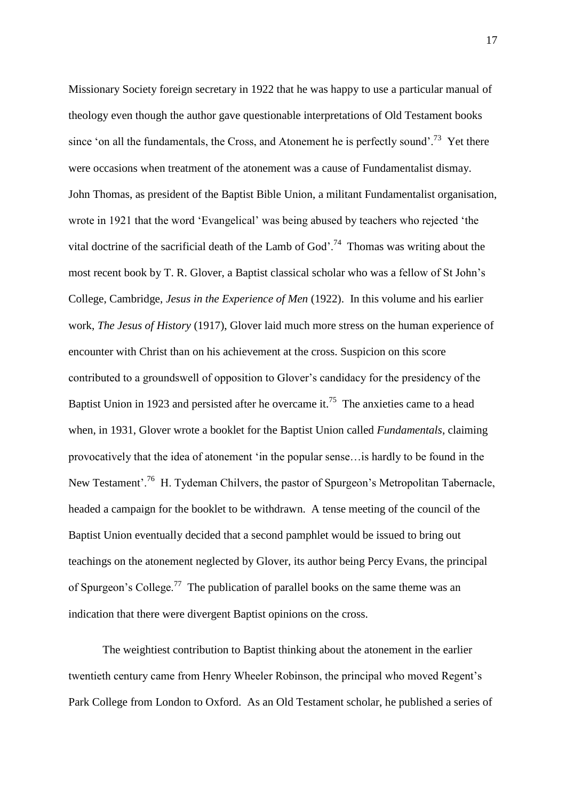Missionary Society foreign secretary in 1922 that he was happy to use a particular manual of theology even though the author gave questionable interpretations of Old Testament books since 'on all the fundamentals, the Cross, and Atonement he is perfectly sound'.<sup>73</sup> Yet there were occasions when treatment of the atonement was a cause of Fundamentalist dismay. John Thomas, as president of the Baptist Bible Union, a militant Fundamentalist organisation, wrote in 1921 that the word 'Evangelical' was being abused by teachers who rejected 'the vital doctrine of the sacrificial death of the Lamb of God'.<sup>74</sup> Thomas was writing about the most recent book by T. R. Glover, a Baptist classical scholar who was a fellow of St John's College, Cambridge, *Jesus in the Experience of Men* (1922). In this volume and his earlier work, *The Jesus of History* (1917), Glover laid much more stress on the human experience of encounter with Christ than on his achievement at the cross. Suspicion on this score contributed to a groundswell of opposition to Glover's candidacy for the presidency of the Baptist Union in 1923 and persisted after he overcame it.<sup>75</sup> The anxieties came to a head when, in 1931, Glover wrote a booklet for the Baptist Union called *Fundamentals*, claiming provocatively that the idea of atonement 'in the popular sense…is hardly to be found in the New Testament<sup>', 76</sup> H. Tydeman Chilvers, the pastor of Spurgeon's Metropolitan Tabernacle, headed a campaign for the booklet to be withdrawn. A tense meeting of the council of the Baptist Union eventually decided that a second pamphlet would be issued to bring out teachings on the atonement neglected by Glover, its author being Percy Evans, the principal of Spurgeon's College.<sup>77</sup> The publication of parallel books on the same theme was an indication that there were divergent Baptist opinions on the cross.

The weightiest contribution to Baptist thinking about the atonement in the earlier twentieth century came from Henry Wheeler Robinson, the principal who moved Regent's Park College from London to Oxford. As an Old Testament scholar, he published a series of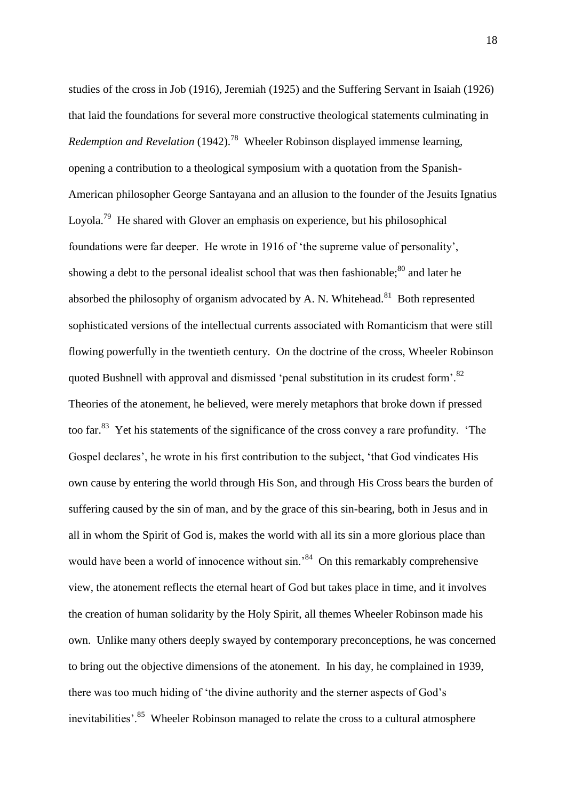studies of the cross in Job (1916), Jeremiah (1925) and the Suffering Servant in Isaiah (1926) that laid the foundations for several more constructive theological statements culminating in Redemption and Revelation (1942).<sup>78</sup> Wheeler Robinson displayed immense learning, opening a contribution to a theological symposium with a quotation from the Spanish-American philosopher George Santayana and an allusion to the founder of the Jesuits Ignatius Loyola.<sup>79</sup> He shared with Glover an emphasis on experience, but his philosophical foundations were far deeper. He wrote in 1916 of 'the supreme value of personality', showing a debt to the personal idealist school that was then fashionable; $80$  and later he absorbed the philosophy of organism advocated by A. N. Whitehead. $81$  Both represented sophisticated versions of the intellectual currents associated with Romanticism that were still flowing powerfully in the twentieth century. On the doctrine of the cross, Wheeler Robinson quoted Bushnell with approval and dismissed 'penal substitution in its crudest form'.<sup>82</sup> Theories of the atonement, he believed, were merely metaphors that broke down if pressed too far.<sup>83</sup> Yet his statements of the significance of the cross convey a rare profundity. 'The Gospel declares', he wrote in his first contribution to the subject, 'that God vindicates His own cause by entering the world through His Son, and through His Cross bears the burden of suffering caused by the sin of man, and by the grace of this sin-bearing, both in Jesus and in all in whom the Spirit of God is, makes the world with all its sin a more glorious place than would have been a world of innocence without sin.<sup>84</sup> On this remarkably comprehensive view, the atonement reflects the eternal heart of God but takes place in time, and it involves the creation of human solidarity by the Holy Spirit, all themes Wheeler Robinson made his own. Unlike many others deeply swayed by contemporary preconceptions, he was concerned to bring out the objective dimensions of the atonement. In his day, he complained in 1939, there was too much hiding of 'the divine authority and the sterner aspects of God's inevitabilities'.<sup>85</sup> Wheeler Robinson managed to relate the cross to a cultural atmosphere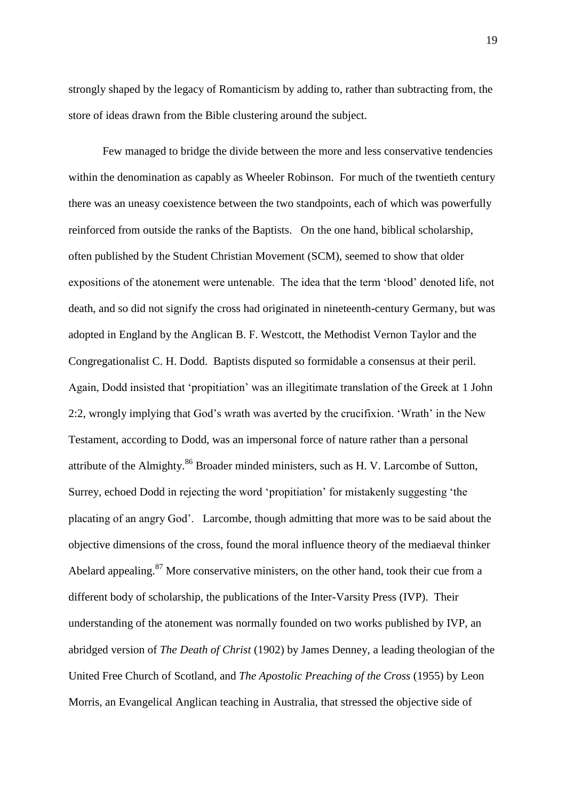strongly shaped by the legacy of Romanticism by adding to, rather than subtracting from, the store of ideas drawn from the Bible clustering around the subject.

Few managed to bridge the divide between the more and less conservative tendencies within the denomination as capably as Wheeler Robinson. For much of the twentieth century there was an uneasy coexistence between the two standpoints, each of which was powerfully reinforced from outside the ranks of the Baptists. On the one hand, biblical scholarship, often published by the Student Christian Movement (SCM), seemed to show that older expositions of the atonement were untenable. The idea that the term 'blood' denoted life, not death, and so did not signify the cross had originated in nineteenth-century Germany, but was adopted in England by the Anglican B. F. Westcott, the Methodist Vernon Taylor and the Congregationalist C. H. Dodd. Baptists disputed so formidable a consensus at their peril. Again, Dodd insisted that 'propitiation' was an illegitimate translation of the Greek at 1 John 2:2, wrongly implying that God's wrath was averted by the crucifixion. 'Wrath' in the New Testament, according to Dodd, was an impersonal force of nature rather than a personal attribute of the Almighty.<sup>86</sup> Broader minded ministers, such as H. V. Larcombe of Sutton, Surrey, echoed Dodd in rejecting the word 'propitiation' for mistakenly suggesting 'the placating of an angry God'. Larcombe, though admitting that more was to be said about the objective dimensions of the cross, found the moral influence theory of the mediaeval thinker Abelard appealing.<sup>87</sup> More conservative ministers, on the other hand, took their cue from a different body of scholarship, the publications of the Inter-Varsity Press (IVP). Their understanding of the atonement was normally founded on two works published by IVP, an abridged version of *The Death of Christ* (1902) by James Denney, a leading theologian of the United Free Church of Scotland, and *The Apostolic Preaching of the Cross* (1955) by Leon Morris, an Evangelical Anglican teaching in Australia, that stressed the objective side of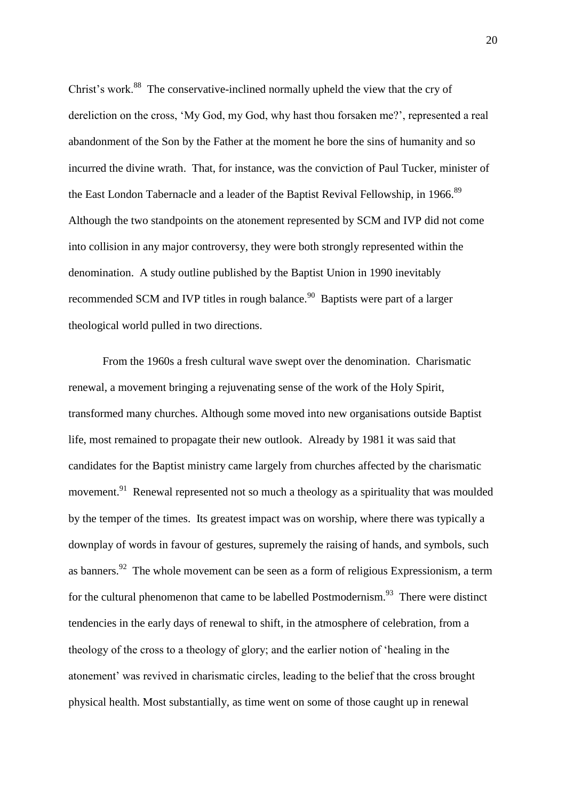Christ's work.<sup>88</sup> The conservative-inclined normally upheld the view that the cry of dereliction on the cross, 'My God, my God, why hast thou forsaken me?', represented a real abandonment of the Son by the Father at the moment he bore the sins of humanity and so incurred the divine wrath. That, for instance, was the conviction of Paul Tucker, minister of the East London Tabernacle and a leader of the Baptist Revival Fellowship, in 1966.<sup>89</sup> Although the two standpoints on the atonement represented by SCM and IVP did not come into collision in any major controversy, they were both strongly represented within the denomination. A study outline published by the Baptist Union in 1990 inevitably recommended SCM and IVP titles in rough balance.<sup>90</sup> Baptists were part of a larger theological world pulled in two directions.

From the 1960s a fresh cultural wave swept over the denomination. Charismatic renewal, a movement bringing a rejuvenating sense of the work of the Holy Spirit, transformed many churches. Although some moved into new organisations outside Baptist life, most remained to propagate their new outlook. Already by 1981 it was said that candidates for the Baptist ministry came largely from churches affected by the charismatic movement.<sup>91</sup> Renewal represented not so much a theology as a spirituality that was moulded by the temper of the times. Its greatest impact was on worship, where there was typically a downplay of words in favour of gestures, supremely the raising of hands, and symbols, such as banners.<sup>92</sup> The whole movement can be seen as a form of religious Expressionism, a term for the cultural phenomenon that came to be labelled Postmodernism.<sup>93</sup> There were distinct tendencies in the early days of renewal to shift, in the atmosphere of celebration, from a theology of the cross to a theology of glory; and the earlier notion of 'healing in the atonement' was revived in charismatic circles, leading to the belief that the cross brought physical health. Most substantially, as time went on some of those caught up in renewal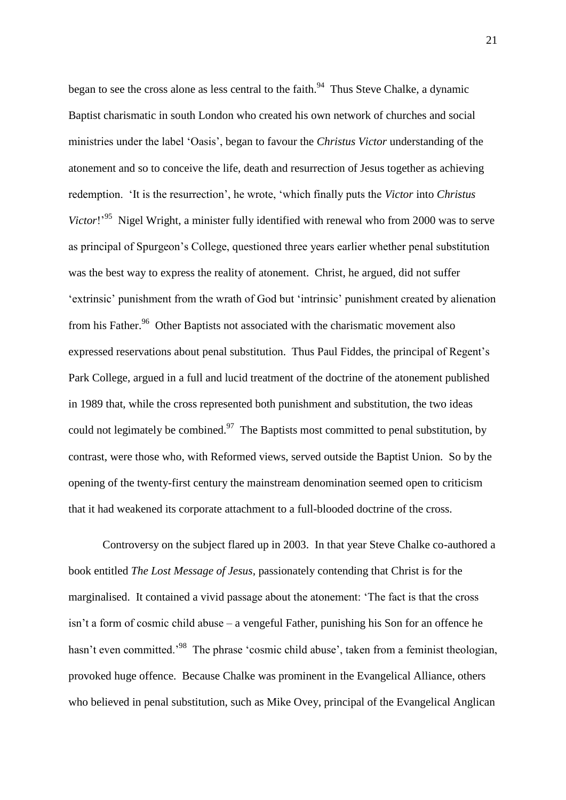began to see the cross alone as less central to the faith.<sup>94</sup> Thus Steve Chalke, a dynamic Baptist charismatic in south London who created his own network of churches and social ministries under the label 'Oasis', began to favour the *Christus Victor* understanding of the atonement and so to conceive the life, death and resurrection of Jesus together as achieving redemption. 'It is the resurrection', he wrote, 'which finally puts the *Victor* into *Christus*  Victor!<sup>'95</sup> Nigel Wright, a minister fully identified with renewal who from 2000 was to serve as principal of Spurgeon's College, questioned three years earlier whether penal substitution was the best way to express the reality of atonement. Christ, he argued, did not suffer 'extrinsic' punishment from the wrath of God but 'intrinsic' punishment created by alienation from his Father.<sup>96</sup> Other Baptists not associated with the charismatic movement also expressed reservations about penal substitution. Thus Paul Fiddes, the principal of Regent's Park College, argued in a full and lucid treatment of the doctrine of the atonement published in 1989 that, while the cross represented both punishment and substitution, the two ideas could not legimately be combined.<sup>97</sup> The Baptists most committed to penal substitution, by contrast, were those who, with Reformed views, served outside the Baptist Union. So by the opening of the twenty-first century the mainstream denomination seemed open to criticism that it had weakened its corporate attachment to a full-blooded doctrine of the cross.

Controversy on the subject flared up in 2003. In that year Steve Chalke co-authored a book entitled *The Lost Message of Jesus*, passionately contending that Christ is for the marginalised. It contained a vivid passage about the atonement: 'The fact is that the cross isn't a form of cosmic child abuse – a vengeful Father, punishing his Son for an offence he hasn't even committed.<sup>'98</sup> The phrase 'cosmic child abuse', taken from a feminist theologian, provoked huge offence. Because Chalke was prominent in the Evangelical Alliance, others who believed in penal substitution, such as Mike Ovey, principal of the Evangelical Anglican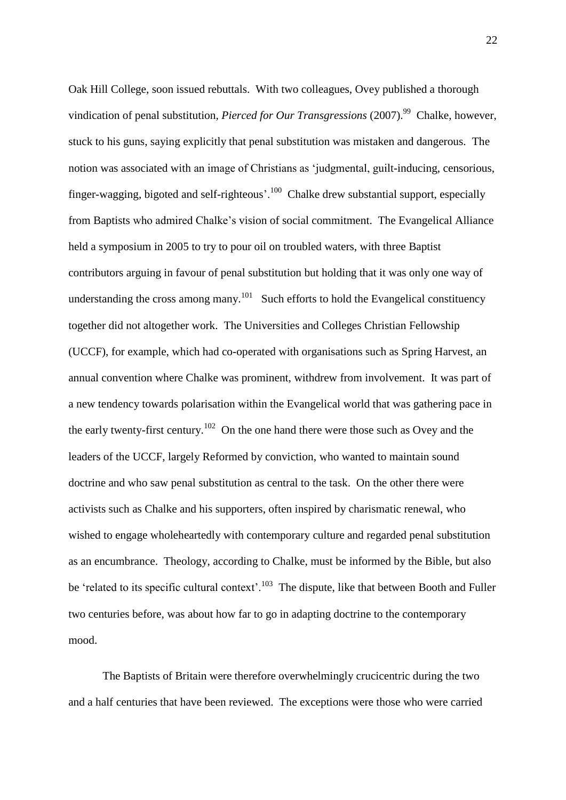Oak Hill College, soon issued rebuttals. With two colleagues, Ovey published a thorough vindication of penal substitution, *Pierced for Our Transgressions* (2007).<sup>99</sup> Chalke, however, stuck to his guns, saying explicitly that penal substitution was mistaken and dangerous. The notion was associated with an image of Christians as 'judgmental, guilt-inducing, censorious, finger-wagging, bigoted and self-righteous'. $100$  Chalke drew substantial support, especially from Baptists who admired Chalke's vision of social commitment. The Evangelical Alliance held a symposium in 2005 to try to pour oil on troubled waters, with three Baptist contributors arguing in favour of penal substitution but holding that it was only one way of understanding the cross among many.<sup>101</sup> Such efforts to hold the Evangelical constituency together did not altogether work. The Universities and Colleges Christian Fellowship (UCCF), for example, which had co-operated with organisations such as Spring Harvest, an annual convention where Chalke was prominent, withdrew from involvement. It was part of a new tendency towards polarisation within the Evangelical world that was gathering pace in the early twenty-first century.<sup>102</sup> On the one hand there were those such as Ovey and the leaders of the UCCF, largely Reformed by conviction, who wanted to maintain sound doctrine and who saw penal substitution as central to the task. On the other there were activists such as Chalke and his supporters, often inspired by charismatic renewal, who wished to engage wholeheartedly with contemporary culture and regarded penal substitution as an encumbrance. Theology, according to Chalke, must be informed by the Bible, but also be 'related to its specific cultural context'.<sup>103</sup> The dispute, like that between Booth and Fuller two centuries before, was about how far to go in adapting doctrine to the contemporary mood.

The Baptists of Britain were therefore overwhelmingly crucicentric during the two and a half centuries that have been reviewed. The exceptions were those who were carried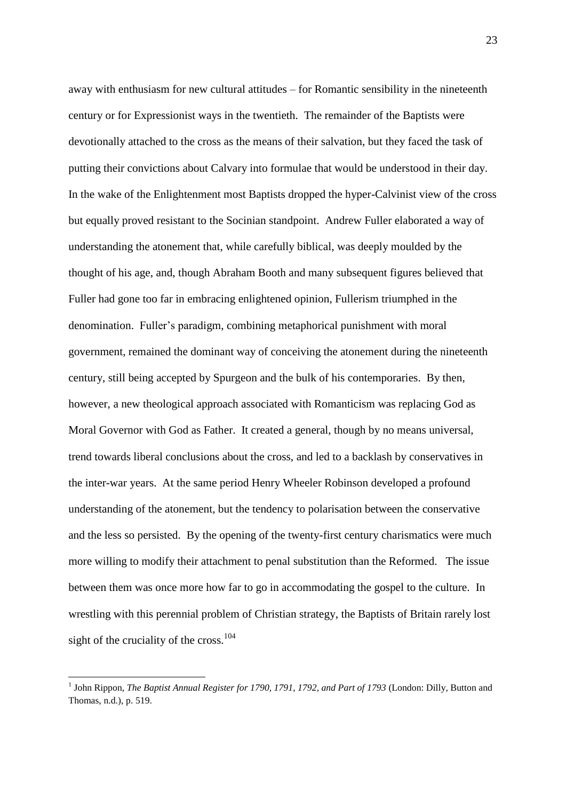away with enthusiasm for new cultural attitudes – for Romantic sensibility in the nineteenth century or for Expressionist ways in the twentieth. The remainder of the Baptists were devotionally attached to the cross as the means of their salvation, but they faced the task of putting their convictions about Calvary into formulae that would be understood in their day. In the wake of the Enlightenment most Baptists dropped the hyper-Calvinist view of the cross but equally proved resistant to the Socinian standpoint. Andrew Fuller elaborated a way of understanding the atonement that, while carefully biblical, was deeply moulded by the thought of his age, and, though Abraham Booth and many subsequent figures believed that Fuller had gone too far in embracing enlightened opinion, Fullerism triumphed in the denomination. Fuller's paradigm, combining metaphorical punishment with moral government, remained the dominant way of conceiving the atonement during the nineteenth century, still being accepted by Spurgeon and the bulk of his contemporaries. By then, however, a new theological approach associated with Romanticism was replacing God as Moral Governor with God as Father. It created a general, though by no means universal, trend towards liberal conclusions about the cross, and led to a backlash by conservatives in the inter-war years. At the same period Henry Wheeler Robinson developed a profound understanding of the atonement, but the tendency to polarisation between the conservative and the less so persisted. By the opening of the twenty-first century charismatics were much more willing to modify their attachment to penal substitution than the Reformed. The issue between them was once more how far to go in accommodating the gospel to the culture. In wrestling with this perennial problem of Christian strategy, the Baptists of Britain rarely lost sight of the cruciality of the cross.<sup>104</sup>

 1 John Rippon, *The Baptist Annual Register for 1790, 1791, 1792, and Part of 1793* (London: Dilly, Button and Thomas, n.d.), p. 519.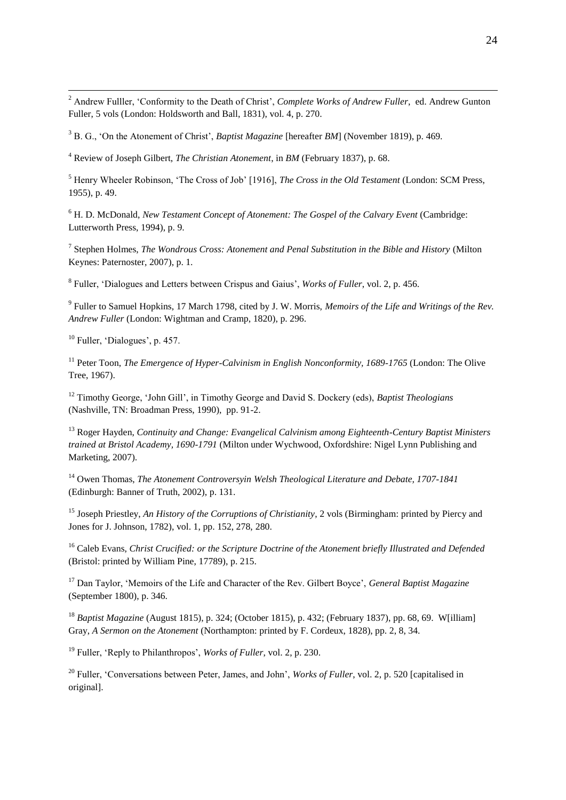<sup>2</sup> Andrew Fulller, 'Conformity to the Death of Christ', *Complete Works of Andrew Fuller*,ed. Andrew Gunton Fuller, 5 vols (London: Holdsworth and Ball, 1831), vol. 4, p. 270.

<sup>3</sup> B. G., 'On the Atonement of Christ', *Baptist Magazine* [hereafter *BM*] (November 1819), p. 469.

<sup>4</sup> Review of Joseph Gilbert, *The Christian Atonement*, in *BM* (February 1837), p. 68.

<sup>5</sup> Henry Wheeler Robinson, 'The Cross of Job' [1916], *The Cross in the Old Testament* (London: SCM Press, 1955), p. 49.

<sup>6</sup> H. D. McDonald, *New Testament Concept of Atonement: The Gospel of the Calvary Event* (Cambridge: Lutterworth Press, 1994), p. 9.

7 Stephen Holmes, *The Wondrous Cross: Atonement and Penal Substitution in the Bible and History* (Milton Keynes: Paternoster, 2007), p. 1.

8 Fuller, 'Dialogues and Letters between Crispus and Gaius', *Works of Fuller*, vol. 2, p. 456.

9 Fuller to Samuel Hopkins, 17 March 1798, cited by J. W. Morris, *Memoirs of the Life and Writings of the Rev. Andrew Fuller* (London: Wightman and Cramp, 1820), p. 296.

<sup>10</sup> Fuller, 'Dialogues', p. 457.

1

<sup>11</sup> Peter Toon, *The Emergence of Hyper-Calvinism in English Nonconformity, 1689-1765* (London: The Olive Tree, 1967).

<sup>12</sup> Timothy George, 'John Gill', in Timothy George and David S. Dockery (eds), *Baptist Theologians* (Nashville, TN: Broadman Press, 1990), pp. 91-2.

<sup>13</sup> Roger Hayden, *Continuity and Change: Evangelical Calvinism among Eighteenth-Century Baptist Ministers trained at Bristol Academy, 1690-1791* (Milton under Wychwood, Oxfordshire: Nigel Lynn Publishing and Marketing, 2007).

<sup>14</sup> Owen Thomas, *The Atonement Controversyin Welsh Theological Literature and Debate, 1707-1841*  (Edinburgh: Banner of Truth, 2002), p. 131.

<sup>15</sup> Joseph Priestley, *An History of the Corruptions of Christianity*, 2 vols (Birmingham: printed by Piercy and Jones for J. Johnson, 1782), vol. 1, pp. 152, 278, 280.

<sup>16</sup> Caleb Evans, *Christ Crucified: or the Scripture Doctrine of the Atonement briefly Illustrated and Defended* (Bristol: printed by William Pine, 17789), p. 215.

<sup>17</sup> Dan Taylor, 'Memoirs of the Life and Character of the Rev. Gilbert Boyce', *General Baptist Magazine* (September 1800), p. 346.

<sup>18</sup> *Baptist Magazine* (August 1815), p. 324; (October 1815), p. 432; (February 1837), pp. 68, 69. W[illiam] Gray, *A Sermon on the Atonement* (Northampton: printed by F. Cordeux, 1828), pp. 2, 8, 34.

<sup>19</sup> Fuller, 'Reply to Philanthropos', *Works of Fuller*, vol. 2, p. 230.

<sup>20</sup> Fuller, 'Conversations between Peter, James, and John', *Works of Fuller*, vol. 2, p. 520 [capitalised in original].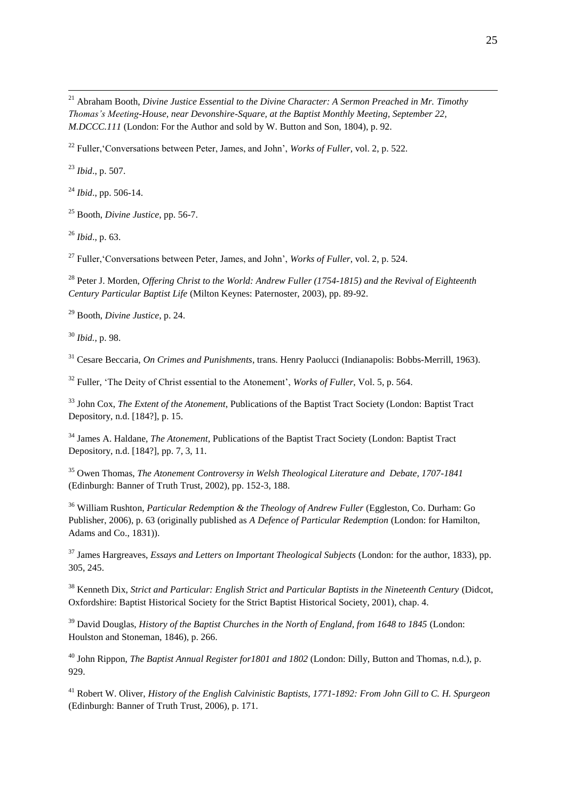<sup>21</sup> Abraham Booth, *Divine Justice Essential to the Divine Character: A Sermon Preached in Mr. Timothy Thomas's Meeting-House, near Devonshire-Square, at the Baptist Monthly Meeting, September 22, M.DCCC.111* (London: For the Author and sold by W. Button and Son, 1804), p. 92.

<sup>22</sup> Fuller,'Conversations between Peter, James, and John', *Works of Fuller*, vol. 2, p. 522.

<sup>23</sup> *Ibid*., p. 507.

1

<sup>24</sup> *Ibid*., pp. 506-14.

<sup>25</sup> Booth, *Divine Justice*, pp. 56-7.

<sup>26</sup> *Ibid*., p. 63.

<sup>27</sup> Fuller,'Conversations between Peter, James, and John', *Works of Fuller*, vol. 2, p. 524.

<sup>28</sup> Peter J. Morden, *Offering Christ to the World: Andrew Fuller (1754-1815) and the Revival of Eighteenth Century Particular Baptist Life* (Milton Keynes: Paternoster, 2003), pp. 89-92.

<sup>29</sup> Booth, *Divine Justice*, p. 24.

<sup>30</sup> *Ibid.*, p. 98.

<sup>31</sup> Cesare Beccaria, *On Crimes and Punishments*, trans. Henry Paolucci (Indianapolis: Bobbs-Merrill, 1963).

<sup>32</sup> Fuller, 'The Deity of Christ essential to the Atonement', *Works of Fuller*, Vol. 5, p. 564.

<sup>33</sup> John Cox, *The Extent of the Atonement*, Publications of the Baptist Tract Society (London: Baptist Tract Depository, n.d. [184?], p. 15.

<sup>34</sup> James A. Haldane, *The Atonement*, Publications of the Baptist Tract Society (London: Baptist Tract Depository, n.d. [184?], pp. 7, 3, 11.

<sup>35</sup> Owen Thomas, *The Atonement Controversy in Welsh Theological Literature and Debate, 1707-1841*  (Edinburgh: Banner of Truth Trust, 2002), pp. 152-3, 188.

<sup>36</sup> William Rushton, *Particular Redemption & the Theology of Andrew Fuller* (Eggleston, Co. Durham: Go. Publisher, 2006), p. 63 (originally published as *A Defence of Particular Redemption* (London: for Hamilton, Adams and Co., 1831)).

<sup>37</sup> James Hargreaves, *Essays and Letters on Important Theological Subjects* (London: for the author, 1833), pp. 305, 245.

<sup>38</sup> Kenneth Dix, *Strict and Particular: English Strict and Particular Baptists in the Nineteenth Century (Didcot,* Oxfordshire: Baptist Historical Society for the Strict Baptist Historical Society, 2001), chap. 4.

<sup>39</sup> David Douglas, *History of the Baptist Churches in the North of England, from 1648 to 1845* (London: Houlston and Stoneman, 1846), p. 266.

<sup>40</sup> John Rippon, *The Baptist Annual Register for1801 and 1802* (London: Dilly, Button and Thomas, n.d.), p. 929.

<sup>41</sup> Robert W. Oliver, *History of the English Calvinistic Baptists, 1771-1892: From John Gill to C. H. Spurgeon*  (Edinburgh: Banner of Truth Trust, 2006), p. 171.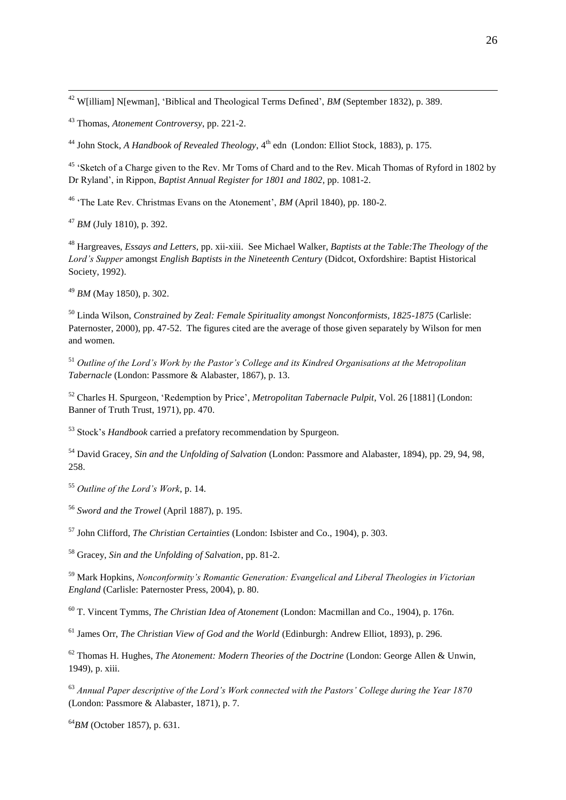W[illiam] N[ewman], 'Biblical and Theological Terms Defined', *BM* (September 1832), p. 389.

Thomas, *Atonement Controversy*, pp. 221-2.

<sup>44</sup> John Stock, *A Handbook of Revealed Theology*, 4<sup>th</sup> edn (London: Elliot Stock, 1883), p. 175.

<sup>45</sup> 'Sketch of a Charge given to the Rev. Mr Toms of Chard and to the Rev. Micah Thomas of Ryford in 1802 by Dr Ryland', in Rippon, *Baptist Annual Register for 1801 and 1802*, pp. 1081-2.

'The Late Rev. Christmas Evans on the Atonement', *BM* (April 1840), pp. 180-2.

*BM* (July 1810), p. 392.

 Hargreaves, *Essays and Letters*, pp. xii-xiii. See Michael Walker, *Baptists at the Table:The Theology of the Lord's Supper* amongst *English Baptists in the Nineteenth Century* (Didcot, Oxfordshire: Baptist Historical Society, 1992).

*BM* (May 1850), p. 302.

 Linda Wilson, *Constrained by Zeal: Female Spirituality amongst Nonconformists, 1825-1875* (Carlisle: Paternoster, 2000), pp. 47-52. The figures cited are the average of those given separately by Wilson for men and women.

 *Outline of the Lord's Work by the Pastor's College and its Kindred Organisations at the Metropolitan Tabernacle* (London: Passmore & Alabaster, 1867), p. 13.

 Charles H. Spurgeon, 'Redemption by Price', *Metropolitan Tabernacle Pulpit*, Vol. 26 [1881] (London: Banner of Truth Trust, 1971), pp. 470.

Stock's *Handbook* carried a prefatory recommendation by Spurgeon.

 David Gracey, *Sin and the Unfolding of Salvation* (London: Passmore and Alabaster, 1894), pp. 29, 94, 98, 258.

*Outline of the Lord's Work*, p. 14.

*Sword and the Trowel* (April 1887), p. 195.

John Clifford, *The Christian Certainties* (London: Isbister and Co., 1904), p. 303.

Gracey, *Sin and the Unfolding of Salvation*, pp. 81-2.

 Mark Hopkins, *Nonconformity's Romantic Generation: Evangelical and Liberal Theologies in Victorian England* (Carlisle: Paternoster Press, 2004), p. 80.

T. Vincent Tymms, *The Christian Idea of Atonement* (London: Macmillan and Co., 1904), p. 176n.

James Orr, *The Christian View of God and the World* (Edinburgh: Andrew Elliot, 1893), p. 296.

 Thomas H. Hughes, *The Atonement: Modern Theories of the Doctrine* (London: George Allen & Unwin, 1949), p. xiii.

 *Annual Paper descriptive of the Lord's Work connected with the Pastors' College during the Year 1870*  (London: Passmore & Alabaster, 1871), p. 7.

*BM* (October 1857), p. 631.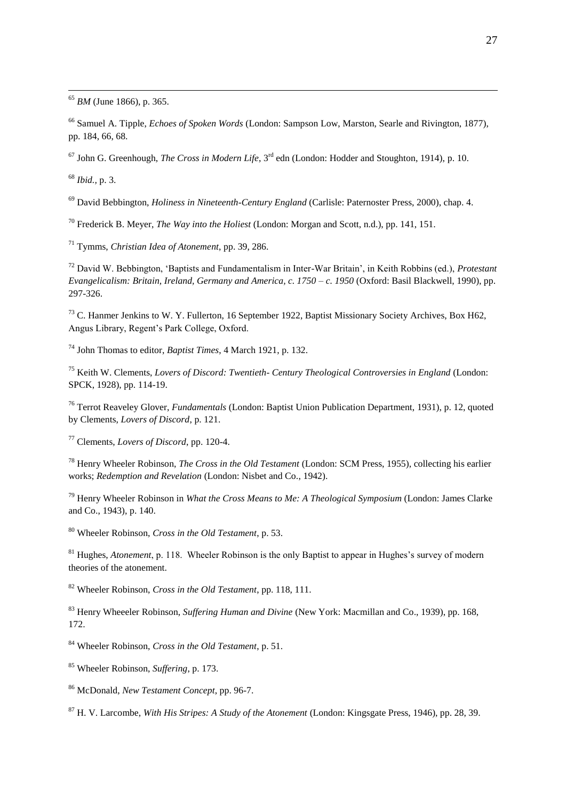*BM* (June 1866), p. 365.

 Samuel A. Tipple, *Echoes of Spoken Words* (London: Sampson Low, Marston, Searle and Rivington, 1877), pp. 184, 66, 68.

John G. Greenhough, *The Cross in Modern Life*, 3rd edn (London: Hodder and Stoughton, 1914), p. 10.

*Ibid.,* p. 3.

David Bebbington, *Holiness in Nineteenth-Century England* (Carlisle: Paternoster Press, 2000), chap. 4.

Frederick B. Meyer, *The Way into the Holiest* (London: Morgan and Scott, n.d.), pp. 141, 151.

Tymms, *Christian Idea of Atonement*, pp. 39, 286.

 David W. Bebbington, 'Baptists and Fundamentalism in Inter-War Britain', in Keith Robbins (ed.), *Protestant Evangelicalism: Britain, Ireland, Germany and America, c. 1750 – c. 1950* (Oxford: Basil Blackwell, 1990), pp. 297-326.

<sup>73</sup> C. Hanmer Jenkins to W. Y. Fullerton, 16 September 1922, Baptist Missionary Society Archives, Box H62, Angus Library, Regent's Park College, Oxford.

John Thomas to editor, *Baptist Times*, 4 March 1921, p. 132.

 Keith W. Clements, *Lovers of Discord: Twentieth- Century Theological Controversies in England* (London: SPCK, 1928), pp. 114-19.

 Terrot Reaveley Glover, *Fundamentals* (London: Baptist Union Publication Department, 1931), p. 12, quoted by Clements, *Lovers of Discord*, p. 121.

Clements, *Lovers of Discord*, pp. 120-4.

 Henry Wheeler Robinson, *The Cross in the Old Testament* (London: SCM Press, 1955), collecting his earlier works; *Redemption and Revelation* (London: Nisbet and Co., 1942).

 Henry Wheeler Robinson in *What the Cross Means to Me: A Theological Symposium* (London: James Clarke and Co., 1943), p. 140.

Wheeler Robinson, *Cross in the Old Testament*, p. 53.

<sup>81</sup> Hughes, *Atonement*, p. 118. Wheeler Robinson is the only Baptist to appear in Hughes's survey of modern theories of the atonement.

Wheeler Robinson, *Cross in the Old Testament*, pp. 118, 111.

 Henry Wheeeler Robinson, *Suffering Human and Divine* (New York: Macmillan and Co., 1939), pp. 168, 172.

Wheeler Robinson, *Cross in the Old Testament*, p. 51.

Wheeler Robinson, *Suffering*, p. 173.

McDonald, *New Testament Concept*, pp. 96-7.

H. V. Larcombe, *With His Stripes: A Study of the Atonement* (London: Kingsgate Press, 1946), pp. 28, 39.